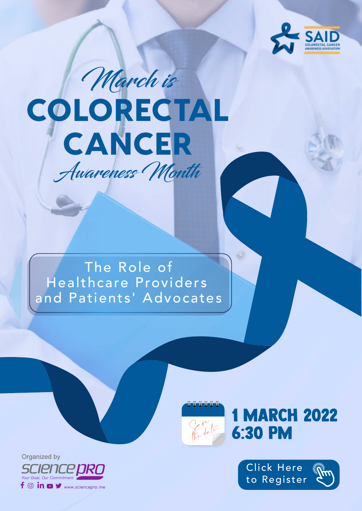

# March is **COLORECTAL** CANCER Awareness Month

#### The Role of Healthcare Providers and Patients' Advocates



1 MARCH 2022 6:30 PM



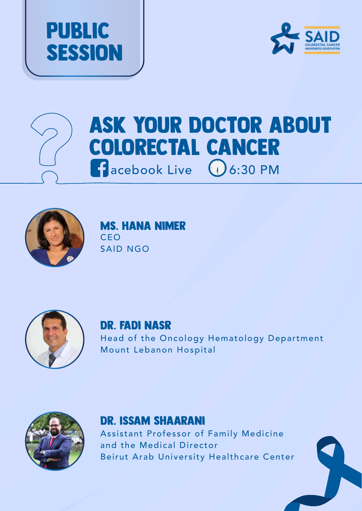





### Ask Your Doctor About Colorectal Cancer **f** acebook Live (1) 6:30 PM



Ms. Hana Nimer CEO SAID NGO



#### Dr. Fadi Nasr

Head of the Oncology Hematology Department Mount Lebanon Hospital



#### Dr. Issam Shaarani

Assistant Professor of Family Medicine and the Medical Director Beirut Arab University Healthcare Center